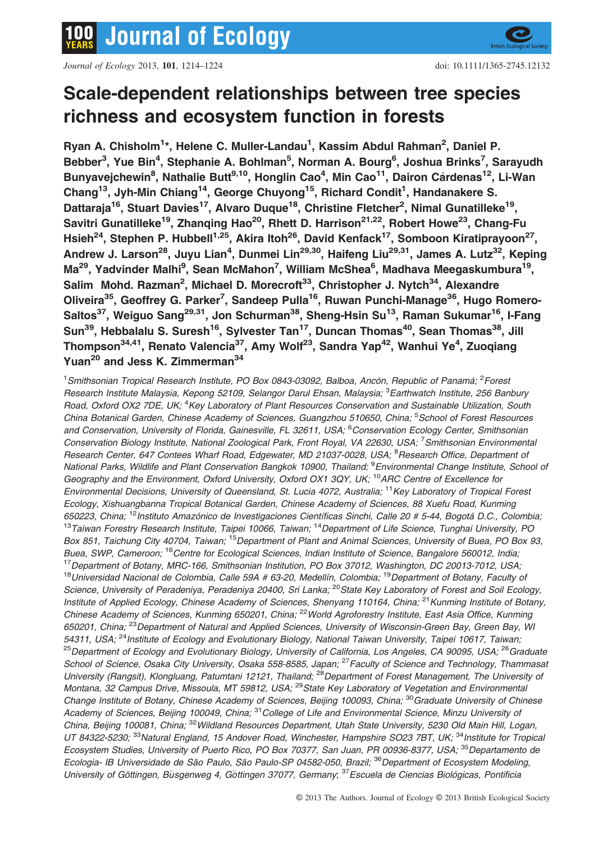Journal of Ecology 2013, 101, 1214–1224 doi: 10.1111/1365-2745.12132

# Scale-dependent relationships between tree species richness and ecosystem function in forests

Ryan A. Chisholm<sup>1\*</sup>, Helene C. Muller-Landau<sup>1</sup>, Kassim Abdul Rahman<sup>2</sup>, Daniel P. Bebber<sup>3</sup>, Yue Bin<sup>4</sup>, Stephanie A. Bohlman<sup>5</sup>, Norman A. Bourg<sup>6</sup>, Joshua Brinks<sup>7</sup>, Sarayudh Bunyavejchewin<sup>8</sup>, Nathalie Butt<sup>9,10</sup>, Honglin Cao<sup>4</sup>, Min Cao<sup>11</sup>, Dairon Cárdenas<sup>12</sup>, Li-Wan Chang<sup>13</sup>, Jyh-Min Chiang<sup>14</sup>, George Chuyong<sup>15</sup>, Richard Condit<sup>1</sup>, Handanakere S. Dattaraja<sup>16</sup>, Stuart Davies<sup>17</sup>, Alvaro Duque<sup>18</sup>, Christine Fletcher<sup>2</sup>, Nimal Gunatilleke<sup>19</sup>, Savitri Gunatilleke<sup>19</sup>, Zhanqing Hao<sup>20</sup>, Rhett D. Harrison<sup>21,22</sup>, Robert Howe<sup>23</sup>, Chang-Fu Hsieh<sup>24</sup>, Stephen P. Hubbell<sup>1,25</sup>, Akira Itoh<sup>26</sup>, David Kenfack<sup>17</sup>, Somboon Kiratiprayoon<sup>27</sup>, Andrew J. Larson<sup>28</sup>, Juyu Lian<sup>4</sup>, Dunmei Lin<sup>29,30</sup>, Haifeng Liu<sup>29,31</sup>, James A. Lutz<sup>32</sup>, Keping Ma<sup>29</sup>, Yadvinder Malhi<sup>9</sup>, Sean McMahon<sup>7</sup>, William McShea<sup>6</sup>, Madhava Meegaskumbura<sup>19</sup>, Salim Mohd. Razman<sup>2</sup>, Michael D. Morecroft<sup>33</sup>, Christopher J. Nytch<sup>34</sup>, Alexandre Oliveira<sup>35</sup>, Geoffrey G. Parker<sup>7</sup>, Sandeep Pulla<sup>16</sup>, Ruwan Punchi-Manage<sup>36</sup>, Hugo Romero-Saltos<sup>37</sup>, Weiguo Sang<sup>29,31</sup>, Jon Schurman<sup>38</sup>, Sheng-Hsin Su<sup>13</sup>, Raman Sukumar<sup>16</sup>, I-Fang Sun<sup>39</sup>, Hebbalalu S. Suresh<sup>16</sup>, Sylvester Tan<sup>17</sup>, Duncan Thomas<sup>40</sup>, Sean Thomas<sup>38</sup>, Jill Thompson<sup>34,41</sup>, Renato Valencia<sup>37</sup>, Amy Wolf<sup>23</sup>, Sandra Yap<sup>42</sup>, Wanhui Ye<sup>4</sup>, Zuoqiang Yuan<sup>20</sup> and Jess K. Zimmerman<sup>34</sup>

<sup>1</sup> Smithsonian Tropical Research Institute, PO Box 0843-03092, Balboa, Ancón, Republic of Panamá; <sup>2</sup> Foresi Research Institute Malaysia, Kepong 52109, Selangor Darul Ehsan, Malaysia; <sup>3</sup> Earthwatch Institute, 256 Banbury Road, Oxford OX2 7DE, UK; <sup>4</sup>Key Laboratory of Plant Resources Conservation and Sustainable Utilization, South China Botanical Garden, Chinese Academy of Sciences, Guangzhou 510650, China; <sup>5</sup> School of Forest Resources and Conservation, University of Florida, Gainesville, FL 32611, USA; <sup>6</sup>Conservation Ecology Center, Smithsonian Conservation Biology Institute, National Zoological Park, Front Royal, VA 22630, USA; <sup>7</sup>Smithsonian Environmenta Research Center, 647 Contees Wharf Road, Edgewater, MD 21037-0028, USA; <sup>8</sup>Research Office, Department of National Parks, Wildlife and Plant Conservation Bangkok 10900, Thailand; <sup>9</sup> Environmental Change Institute, School oi Geography and the Environment, Oxford University, Oxford OX1 3QY, UK; <sup>10</sup>ARC Centre of Excellence for Environmental Decisions, University of Queensland, St. Lucia 4072, Australia; <sup>11</sup> Key Laboratory of Tropical Forest Ecology, Xishuangbanna Tropical Botanical Garden, Chinese Academy of Sciences, 88 Xuefu Road, Kunming 650223, China; <sup>12</sup>Instituto Amazónico de Investigaciones Científicas Sinchi, Calle 20 # 5-44, Bogotá D.C., Colombia; <sup>13</sup>Taiwan Forestry Research Institute, Taipei 10066, Taiwan; <sup>14</sup>Department of Life Science, Tunghai University, PO Box 851, Taichung City 40704, Taiwan; <sup>15</sup>Department of Plant and Animal Sciences, University of Buea, PO Box 93, Buea, SWP, Cameroon; <sup>16</sup>Centre for Ecological Sciences, Indian Institute of Science, Bangalore 560012, India; <sup>17</sup> Department of Botany, MRC-166, Smithsonian Institution, PO Box 37012, Washington, DC 20013-7012, USA; <sup>18</sup>Universidad Nacional de Colombia, Calle 59A # 63-20, Medellín, Colombia; <sup>19</sup>Department of Botany, Faculty of Science, University of Peradeniya, Peradeniya 20400, Sri Lanka; <sup>20</sup>State Key Laboratory of Forest and Soil Ecology, Institute of Applied Ecology, Chinese Academy of Sciences, Shenyang 110164, China; <sup>21</sup> Kunming Institute of Botany, Chinese Academy of Sciences, Kunming 650201, China; <sup>22</sup> World Agroforestry Institute, East Asia Office, Kunming 650201, China: <sup>23</sup>Department of Natural and Applied Sciences, University of Wisconsin-Green Bay, Green Bay, WI 54311, USA; <sup>24</sup>Institute of Ecology and Evolutionary Biology, National Taiwan University, Taipei 10617, Taiwan; <sup>25</sup>Department of Ecology and Evolutionary Biology, University of California, Los Angeles, CA 90095, USA; <sup>26</sup>Graduate School of Science, Osaka City University, Osaka 558-8585, Japan; <sup>27</sup> Faculty of Science and Technology, Thammasat University (Rangsit), Klongluang, Patumtani 12121, Thailand; <sup>28</sup>Department of Forest Management, The University of Montana, 32 Campus Drive, Missoula, MT 59812, USA; <sup>29</sup> State Key Laboratory of Vegetation and Environmental Change Institute of Botany, Chinese Academy of Sciences, Beijing 100093, China; <sup>30</sup> Graduate University of Chinese Academy of Sciences, Beijing 100049, China; <sup>31</sup>College of Life and Environmental Science, Minzu University of China, Beijing 100081, China; <sup>32</sup> Wildland Resources Department, Utah State University, 5230 Old Main Hill, Logan, UT 84322-5230; <sup>33</sup>Natural England, 15 Andover Road, Winchester, Hampshire SO23 7BT, UK; <sup>34</sup>Institute for Tropical Ecosystem Studies, University of Puerto Rico, PO Box 70377, San Juan, PR 00936-8377, USA; <sup>35</sup>Departamento de Ecologia- IB Universidade de São Paulo, São Paulo-SP 04582-050, Brazil; <sup>36</sup> Department of Ecosystem Modeling, University of Göttingen, Büsgenweg 4, Göttingen 37077, Germany; <sup>37</sup> Escuela de Ciencias Biológicas, Pontificia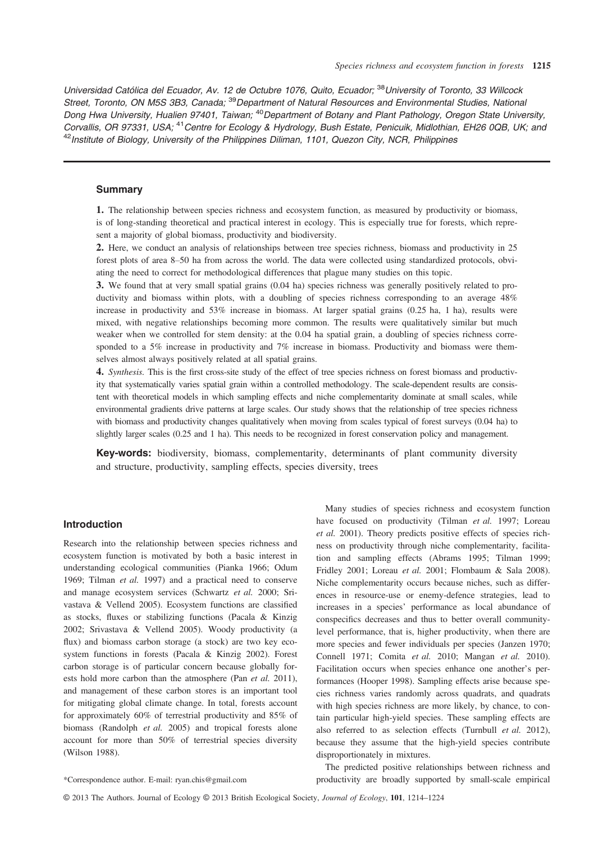Universidad Católica del Ecuador, Av. 12 de Octubre 1076, Quito, Ecuador; <sup>38</sup>University of Toronto, 33 Willcock Street, Toronto, ON M5S 3B3, Canada; <sup>39</sup> Department of Natural Resources and Environmental Studies, National Dong Hwa University, Hualien 97401, Taiwan; <sup>40</sup> Department of Botany and Plant Pathology, Oregon State University, Corvallis, OR 97331, USA; <sup>41</sup> Centre for Ecology & Hydrology, Bush Estate, Penicuik, Midlothian, EH26 0QB, UK; and 42 Institute of Biology, University of the Philippines Diliman, 1101, Quezon City, NCR, Philippines

# **Summary**

1. The relationship between species richness and ecosystem function, as measured by productivity or biomass, is of long-standing theoretical and practical interest in ecology. This is especially true for forests, which represent a majority of global biomass, productivity and biodiversity.

2. Here, we conduct an analysis of relationships between tree species richness, biomass and productivity in 25 forest plots of area 8–50 ha from across the world. The data were collected using standardized protocols, obviating the need to correct for methodological differences that plague many studies on this topic.

3. We found that at very small spatial grains (0.04 ha) species richness was generally positively related to productivity and biomass within plots, with a doubling of species richness corresponding to an average 48% increase in productivity and 53% increase in biomass. At larger spatial grains (0.25 ha, 1 ha), results were mixed, with negative relationships becoming more common. The results were qualitatively similar but much weaker when we controlled for stem density: at the 0.04 ha spatial grain, a doubling of species richness corresponded to a 5% increase in productivity and 7% increase in biomass. Productivity and biomass were themselves almost always positively related at all spatial grains.

4. Synthesis. This is the first cross-site study of the effect of tree species richness on forest biomass and productivity that systematically varies spatial grain within a controlled methodology. The scale-dependent results are consistent with theoretical models in which sampling effects and niche complementarity dominate at small scales, while environmental gradients drive patterns at large scales. Our study shows that the relationship of tree species richness with biomass and productivity changes qualitatively when moving from scales typical of forest surveys (0.04 ha) to slightly larger scales (0.25 and 1 ha). This needs to be recognized in forest conservation policy and management.

Key-words: biodiversity, biomass, complementarity, determinants of plant community diversity and structure, productivity, sampling effects, species diversity, trees

## Introduction

Research into the relationship between species richness and ecosystem function is motivated by both a basic interest in understanding ecological communities (Pianka 1966; Odum 1969; Tilman et al. 1997) and a practical need to conserve and manage ecosystem services (Schwartz et al. 2000; Srivastava & Vellend 2005). Ecosystem functions are classified as stocks, fluxes or stabilizing functions (Pacala & Kinzig 2002; Srivastava & Vellend 2005). Woody productivity (a flux) and biomass carbon storage (a stock) are two key ecosystem functions in forests (Pacala & Kinzig 2002). Forest carbon storage is of particular concern because globally forests hold more carbon than the atmosphere (Pan et al. 2011), and management of these carbon stores is an important tool for mitigating global climate change. In total, forests account for approximately 60% of terrestrial productivity and 85% of biomass (Randolph et al. 2005) and tropical forests alone account for more than 50% of terrestrial species diversity (Wilson 1988).

Many studies of species richness and ecosystem function have focused on productivity (Tilman et al. 1997; Loreau et al. 2001). Theory predicts positive effects of species richness on productivity through niche complementarity, facilitation and sampling effects (Abrams 1995; Tilman 1999; Fridley 2001; Loreau et al. 2001; Flombaum & Sala 2008). Niche complementarity occurs because niches, such as differences in resource-use or enemy-defence strategies, lead to increases in a species' performance as local abundance of conspecifics decreases and thus to better overall communitylevel performance, that is, higher productivity, when there are more species and fewer individuals per species (Janzen 1970; Connell 1971; Comita et al. 2010; Mangan et al. 2010). Facilitation occurs when species enhance one another's performances (Hooper 1998). Sampling effects arise because species richness varies randomly across quadrats, and quadrats with high species richness are more likely, by chance, to contain particular high-yield species. These sampling effects are also referred to as selection effects (Turnbull et al. 2012), because they assume that the high-yield species contribute disproportionately in mixtures.

The predicted positive relationships between richness and \*Correspondence author. E-mail: ryan.chis@gmail.com productivity are broadly supported by small-scale empirical

© 2013 The Authors. Journal of Ecology © 2013 British Ecological Society, Journal of Ecology, 101, 1214–<sup>1224</sup>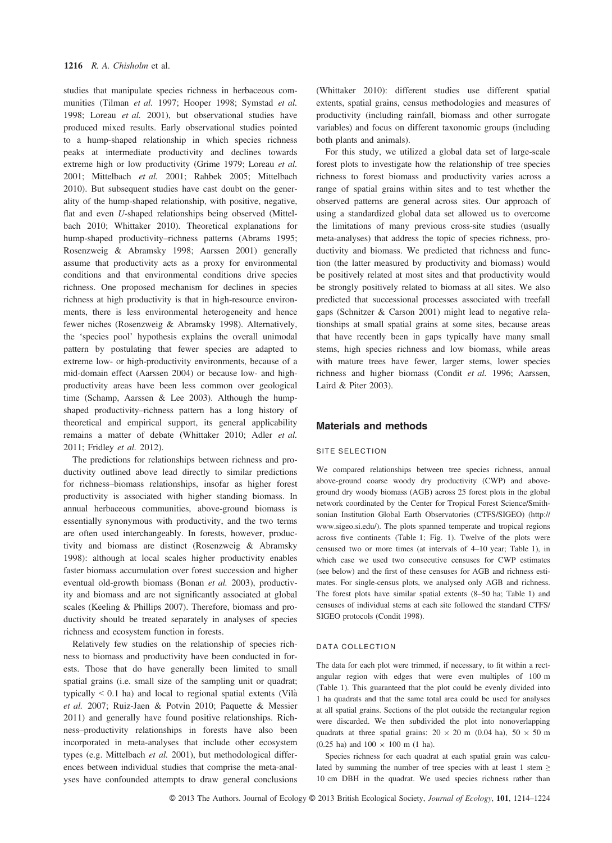studies that manipulate species richness in herbaceous communities (Tilman et al. 1997; Hooper 1998; Symstad et al. 1998; Loreau et al. 2001), but observational studies have produced mixed results. Early observational studies pointed to a hump-shaped relationship in which species richness peaks at intermediate productivity and declines towards extreme high or low productivity (Grime 1979; Loreau et al. 2001; Mittelbach et al. 2001; Rahbek 2005; Mittelbach 2010). But subsequent studies have cast doubt on the generality of the hump-shaped relationship, with positive, negative, flat and even U-shaped relationships being observed (Mittelbach 2010; Whittaker 2010). Theoretical explanations for hump-shaped productivity–richness patterns (Abrams 1995; Rosenzweig & Abramsky 1998; Aarssen 2001) generally assume that productivity acts as a proxy for environmental conditions and that environmental conditions drive species richness. One proposed mechanism for declines in species richness at high productivity is that in high-resource environments, there is less environmental heterogeneity and hence fewer niches (Rosenzweig & Abramsky 1998). Alternatively, the 'species pool' hypothesis explains the overall unimodal pattern by postulating that fewer species are adapted to extreme low- or high-productivity environments, because of a mid-domain effect (Aarssen 2004) or because low- and highproductivity areas have been less common over geological time (Schamp, Aarssen & Lee 2003). Although the humpshaped productivity–richness pattern has a long history of theoretical and empirical support, its general applicability remains a matter of debate (Whittaker 2010; Adler et al. 2011; Fridley et al. 2012).

The predictions for relationships between richness and productivity outlined above lead directly to similar predictions for richness–biomass relationships, insofar as higher forest productivity is associated with higher standing biomass. In annual herbaceous communities, above-ground biomass is essentially synonymous with productivity, and the two terms are often used interchangeably. In forests, however, productivity and biomass are distinct (Rosenzweig & Abramsky 1998): although at local scales higher productivity enables faster biomass accumulation over forest succession and higher eventual old-growth biomass (Bonan et al. 2003), productivity and biomass and are not significantly associated at global scales (Keeling & Phillips 2007). Therefore, biomass and productivity should be treated separately in analyses of species richness and ecosystem function in forests.

Relatively few studies on the relationship of species richness to biomass and productivity have been conducted in forests. Those that do have generally been limited to small spatial grains (i.e. small size of the sampling unit or quadrat; typically < 0.1 ha) and local to regional spatial extents (Vila et al. 2007; Ruiz-Jaen & Potvin 2010; Paquette & Messier 2011) and generally have found positive relationships. Richness–productivity relationships in forests have also been incorporated in meta-analyses that include other ecosystem types (e.g. Mittelbach et al. 2001), but methodological differences between individual studies that comprise the meta-analyses have confounded attempts to draw general conclusions

(Whittaker 2010): different studies use different spatial extents, spatial grains, census methodologies and measures of productivity (including rainfall, biomass and other surrogate variables) and focus on different taxonomic groups (including both plants and animals).

For this study, we utilized a global data set of large-scale forest plots to investigate how the relationship of tree species richness to forest biomass and productivity varies across a range of spatial grains within sites and to test whether the observed patterns are general across sites. Our approach of using a standardized global data set allowed us to overcome the limitations of many previous cross-site studies (usually meta-analyses) that address the topic of species richness, productivity and biomass. We predicted that richness and function (the latter measured by productivity and biomass) would be positively related at most sites and that productivity would be strongly positively related to biomass at all sites. We also predicted that successional processes associated with treefall gaps (Schnitzer & Carson 2001) might lead to negative relationships at small spatial grains at some sites, because areas that have recently been in gaps typically have many small stems, high species richness and low biomass, while areas with mature trees have fewer, larger stems, lower species richness and higher biomass (Condit et al. 1996; Aarssen, Laird & Piter 2003).

## Materials and methods

#### SITE SELECTION

We compared relationships between tree species richness, annual above-ground coarse woody dry productivity (CWP) and aboveground dry woody biomass (AGB) across 25 forest plots in the global network coordinated by the Center for Tropical Forest Science/Smithsonian Institution Global Earth Observatories (CTFS/SIGEO) (http:// www.sigeo.si.edu/). The plots spanned temperate and tropical regions across five continents (Table 1; Fig. 1). Twelve of the plots were censused two or more times (at intervals of 4–10 year; Table 1), in which case we used two consecutive censuses for CWP estimates (see below) and the first of these censuses for AGB and richness estimates. For single-census plots, we analysed only AGB and richness. The forest plots have similar spatial extents (8–50 ha; Table 1) and censuses of individual stems at each site followed the standard CTFS/ SIGEO protocols (Condit 1998).

#### DATA COLLECTION

The data for each plot were trimmed, if necessary, to fit within a rectangular region with edges that were even multiples of 100 m (Table 1). This guaranteed that the plot could be evenly divided into 1 ha quadrats and that the same total area could be used for analyses at all spatial grains. Sections of the plot outside the rectangular region were discarded. We then subdivided the plot into nonoverlapping quadrats at three spatial grains:  $20 \times 20$  m (0.04 ha),  $50 \times 50$  m (0.25 ha) and  $100 \times 100$  m (1 ha).

Species richness for each quadrat at each spatial grain was calculated by summing the number of tree species with at least 1 stem  $\geq$ 10 cm DBH in the quadrat. We used species richness rather than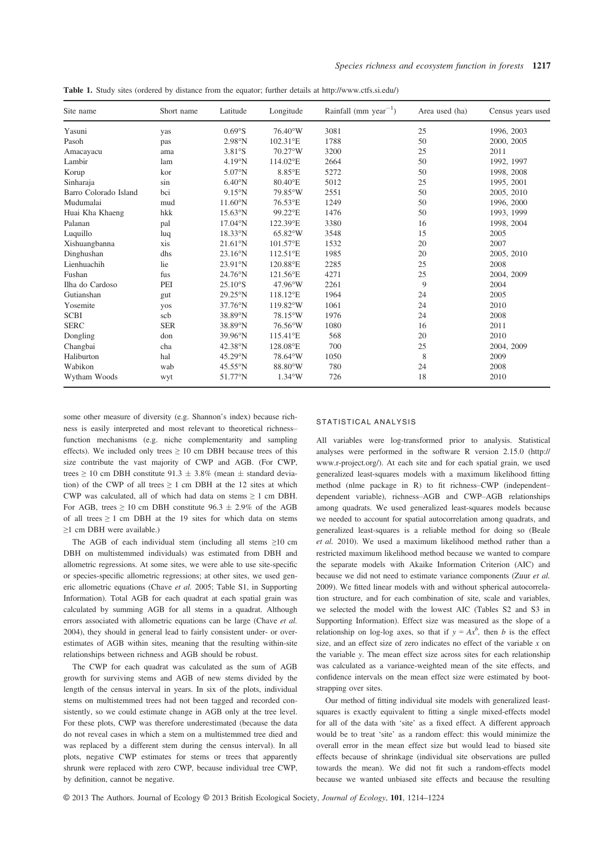Table 1. Study sites (ordered by distance from the equator; further details at http://www.ctfs.si.edu/)

| Site name             | Short name | Latitude          | Longitude         | Rainfall (mm year <sup><math>-1</math></sup> ) | Area used (ha) | Census years used |
|-----------------------|------------|-------------------|-------------------|------------------------------------------------|----------------|-------------------|
| Yasuni                | yas        | 0.69°S            | 76.40°W           | 3081                                           | 25             | 1996, 2003        |
| Pasoh                 | pas        | $2.98^{\circ}$ N  | $102.31^{\circ}E$ | 1788                                           | 50             | 2000, 2005        |
| Amacayacu             | ama        | 3.81°S            | $70.27^{\circ}$ W | 3200                                           | 25             | 2011              |
| Lambir                | lam        | $4.19^{\circ}$ N  | 114.02°E          | 2664                                           | 50             | 1992, 1997        |
| Korup                 | kor        | $5.07^{\circ}$ N  | 8.85°E            | 5272                                           | 50             | 1998, 2008        |
| Sinharaja             | sin        | $6.40^{\circ}$ N  | $80.40^{\circ}E$  | 5012                                           | 25             | 1995, 2001        |
| Barro Colorado Island | bci        | $9.15^{\circ}$ N  | $79.85^{\circ}$ W | 2551                                           | 50             | 2005, 2010        |
| Mudumalai             | mud        | $11.60^{\circ}$ N | 76.53°E           | 1249                                           | 50             | 1996, 2000        |
| Huai Kha Khaeng       | hkk        | $15.63^{\circ}N$  | 99.22°E           | 1476                                           | 50             | 1993, 1999        |
| Palanan               | pal        | $17.04^{\circ}$ N | 122.39°E          | 3380                                           | 16             | 1998, 2004        |
| Luquillo              | luq        | $18.33^\circ$ N   | $65.82^{\circ}$ W | 3548                                           | 15             | 2005              |
| Xishuangbanna         | xis        | $21.61^{\circ}N$  | 101.57°E          | 1532                                           | 20             | 2007              |
| Dinghushan            | dhs        | 23.16°N           | 112.51°E          | 1985                                           | 20             | 2005, 2010        |
| Lienhuachih           | lie        | $23.91^\circ N$   | 120.88°E          | 2285                                           | 25             | 2008              |
| Fushan                | fus        | $24.76^{\circ}$ N | $121.56^{\circ}E$ | 4271                                           | 25             | 2004, 2009        |
| Ilha do Cardoso       | PEI        | 25.10°S           | $47.96^{\circ}$ W | 2261                                           | $\overline{9}$ | 2004              |
| Gutianshan            | gut        | $29.25^{\circ}$ N | 118.12°E          | 1964                                           | 24             | 2005              |
| Yosemite              | <b>VOS</b> | 37.76°N           | 119.82°W          | 1061                                           | 24             | 2010              |
| <b>SCBI</b>           | scb        | 38.89°N           | 78.15°W           | 1976                                           | 24             | 2008              |
| <b>SERC</b>           | <b>SER</b> | 38.89°N           | 76.56°W           | 1080                                           | 16             | 2011              |
| Dongling              | don        | 39.96°N           | 115.41°E          | 568                                            | 20             | 2010              |
| Changbai              | cha        | 42.38°N           | 128.08°E          | 700                                            | 25             | 2004, 2009        |
| Haliburton            | hal        | 45.29°N           | 78.64°W           | 1050                                           | 8              | 2009              |
| Wabikon               | wab        | $45.55^{\circ}$ N | 88.80°W           | 780                                            | 24             | 2008              |
| Wytham Woods          | wyt        | $51.77^\circ N$   | $1.34^{\circ}$ W  | 726                                            | 18             | 2010              |

some other measure of diversity (e.g. Shannon's index) because richness is easily interpreted and most relevant to theoretical richness– function mechanisms (e.g. niche complementarity and sampling effects). We included only trees  $\geq 10$  cm DBH because trees of this size contribute the vast majority of CWP and AGB. (For CWP, trees  $\geq$  10 cm DBH constitute 91.3  $\pm$  3.8% (mean  $\pm$  standard deviation) of the CWP of all trees  $\geq 1$  cm DBH at the 12 sites at which CWP was calculated, all of which had data on stems  $\geq 1$  cm DBH. For AGB, trees  $\geq 10$  cm DBH constitute  $96.3 \pm 2.9\%$  of the AGB of all trees  $\geq 1$  cm DBH at the 19 sites for which data on stems ≥1 cm DBH were available.)

The AGB of each individual stem (including all stems  $\geq 10$  cm DBH on multistemmed individuals) was estimated from DBH and allometric regressions. At some sites, we were able to use site-specific or species-specific allometric regressions; at other sites, we used generic allometric equations (Chave et al. 2005; Table S1, in Supporting Information). Total AGB for each quadrat at each spatial grain was calculated by summing AGB for all stems in a quadrat. Although errors associated with allometric equations can be large (Chave et al. 2004), they should in general lead to fairly consistent under- or overestimates of AGB within sites, meaning that the resulting within-site relationships between richness and AGB should be robust.

The CWP for each quadrat was calculated as the sum of AGB growth for surviving stems and AGB of new stems divided by the length of the census interval in years. In six of the plots, individual stems on multistemmed trees had not been tagged and recorded consistently, so we could estimate change in AGB only at the tree level. For these plots, CWP was therefore underestimated (because the data do not reveal cases in which a stem on a multistemmed tree died and was replaced by a different stem during the census interval). In all plots, negative CWP estimates for stems or trees that apparently shrunk were replaced with zero CWP, because individual tree CWP, by definition, cannot be negative.

#### STATISTICAL ANALYSIS

All variables were log-transformed prior to analysis. Statistical analyses were performed in the software R version 2.15.0 (http:// www.r-project.org/). At each site and for each spatial grain, we used generalized least-squares models with a maximum likelihood fitting method (nlme package in R) to fit richness–CWP (independent– dependent variable), richness–AGB and CWP–AGB relationships among quadrats. We used generalized least-squares models because we needed to account for spatial autocorrelation among quadrats, and generalized least-squares is a reliable method for doing so (Beale et al. 2010). We used a maximum likelihood method rather than a restricted maximum likelihood method because we wanted to compare the separate models with Akaike Information Criterion (AIC) and because we did not need to estimate variance components (Zuur et al. 2009). We fitted linear models with and without spherical autocorrelation structure, and for each combination of site, scale and variables, we selected the model with the lowest AIC (Tables S2 and S3 in Supporting Information). Effect size was measured as the slope of a relationship on log-log axes, so that if  $y = Ax^b$ , then b is the effect size, and an effect size of zero indicates no effect of the variable  $x$  on the variable y. The mean effect size across sites for each relationship was calculated as a variance-weighted mean of the site effects, and confidence intervals on the mean effect size were estimated by bootstrapping over sites.

Our method of fitting individual site models with generalized leastsquares is exactly equivalent to fitting a single mixed-effects model for all of the data with 'site' as a fixed effect. A different approach would be to treat 'site' as a random effect: this would minimize the overall error in the mean effect size but would lead to biased site effects because of shrinkage (individual site observations are pulled towards the mean). We did not fit such a random-effects model because we wanted unbiased site effects and because the resulting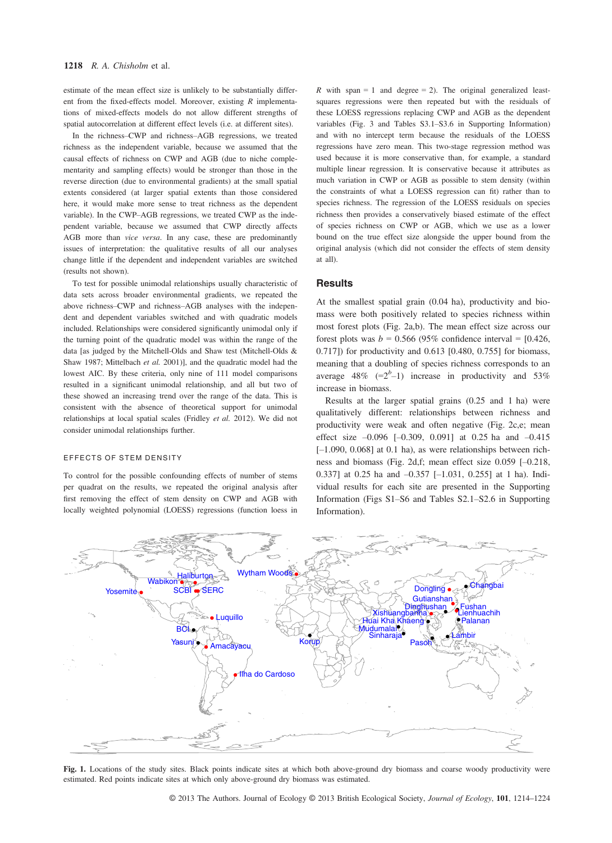estimate of the mean effect size is unlikely to be substantially different from the fixed-effects model. Moreover, existing  $R$  implementations of mixed-effects models do not allow different strengths of spatial autocorrelation at different effect levels (i.e. at different sites).

In the richness–CWP and richness–AGB regressions, we treated richness as the independent variable, because we assumed that the causal effects of richness on CWP and AGB (due to niche complementarity and sampling effects) would be stronger than those in the reverse direction (due to environmental gradients) at the small spatial extents considered (at larger spatial extents than those considered here, it would make more sense to treat richness as the dependent variable). In the CWP–AGB regressions, we treated CWP as the independent variable, because we assumed that CWP directly affects AGB more than vice versa. In any case, these are predominantly issues of interpretation: the qualitative results of all our analyses change little if the dependent and independent variables are switched (results not shown).

To test for possible unimodal relationships usually characteristic of data sets across broader environmental gradients, we repeated the above richness–CWP and richness–AGB analyses with the independent and dependent variables switched and with quadratic models included. Relationships were considered significantly unimodal only if the turning point of the quadratic model was within the range of the data [as judged by the Mitchell-Olds and Shaw test (Mitchell-Olds & Shaw 1987; Mittelbach et al. 2001)], and the quadratic model had the lowest AIC. By these criteria, only nine of 111 model comparisons resulted in a significant unimodal relationship, and all but two of these showed an increasing trend over the range of the data. This is consistent with the absence of theoretical support for unimodal relationships at local spatial scales (Fridley et al. 2012). We did not consider unimodal relationships further.

#### EFFECTS OF STEM DENSITY

To control for the possible confounding effects of number of stems per quadrat on the results, we repeated the original analysis after first removing the effect of stem density on CWP and AGB with locally weighted polynomial (LOESS) regressions (function loess in R with span = 1 and degree = 2). The original generalized leastsquares regressions were then repeated but with the residuals of these LOESS regressions replacing CWP and AGB as the dependent variables (Fig. 3 and Tables S3.1–S3.6 in Supporting Information) and with no intercept term because the residuals of the LOESS regressions have zero mean. This two-stage regression method was used because it is more conservative than, for example, a standard multiple linear regression. It is conservative because it attributes as much variation in CWP or AGB as possible to stem density (within the constraints of what a LOESS regression can fit) rather than to species richness. The regression of the LOESS residuals on species richness then provides a conservatively biased estimate of the effect of species richness on CWP or AGB, which we use as a lower bound on the true effect size alongside the upper bound from the original analysis (which did not consider the effects of stem density at all).

## **Results**

At the smallest spatial grain (0.04 ha), productivity and biomass were both positively related to species richness within most forest plots (Fig. 2a,b). The mean effect size across our forest plots was  $b = 0.566$  (95% confidence interval = [0.426, 0.717]) for productivity and 0.613 [0.480, 0.755] for biomass, meaning that a doubling of species richness corresponds to an average 48%  $(=2<sup>b</sup>-1)$  increase in productivity and 53% increase in biomass.

Results at the larger spatial grains (0.25 and 1 ha) were qualitatively different: relationships between richness and productivity were weak and often negative (Fig. 2c,e; mean effect size –0.096 [–0.309, 0.091] at 0.25 ha and –0.415 [–1.090, 0.068] at 0.1 ha), as were relationships between richness and biomass (Fig. 2d,f; mean effect size 0.059 [–0.218, 0.337] at 0.25 ha and –0.357 [–1.031, 0.255] at 1 ha). Individual results for each site are presented in the Supporting Information (Figs S1–S6 and Tables S2.1–S2.6 in Supporting Information).



Fig. 1. Locations of the study sites. Black points indicate sites at which both above-ground dry biomass and coarse woody productivity were estimated. Red points indicate sites at which only above-ground dry biomass was estimated.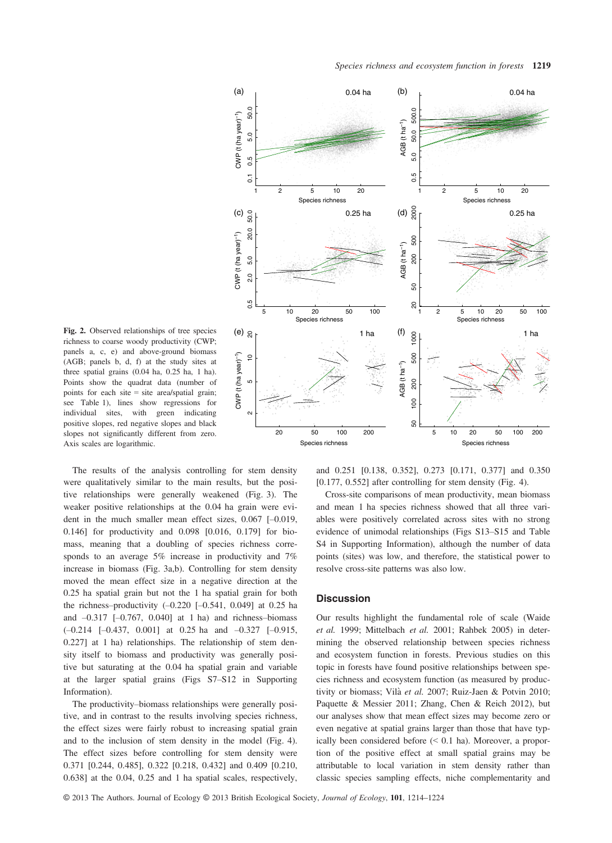

richness to coarse woody productivity (CWP; panels a, c, e) and above-ground biomass (AGB; panels b, d, f) at the study sites at three spatial grains (0.04 ha, 0.25 ha, 1 ha). Points show the quadrat data (number of points for each site = site area/spatial grain; see Table 1), lines show regressions for individual sites, with green indicating positive slopes, red negative slopes and black slopes not significantly different from zero. Axis scales are logarithmic.

The results of the analysis controlling for stem density were qualitatively similar to the main results, but the positive relationships were generally weakened (Fig. 3). The weaker positive relationships at the 0.04 ha grain were evident in the much smaller mean effect sizes, 0.067 [–0.019, 0.146] for productivity and 0.098 [0.016, 0.179] for biomass, meaning that a doubling of species richness corresponds to an average 5% increase in productivity and 7% increase in biomass (Fig. 3a,b). Controlling for stem density moved the mean effect size in a negative direction at the 0.25 ha spatial grain but not the 1 ha spatial grain for both the richness-productivity  $(-0.220 [-0.541, 0.049]$  at 0.25 ha and  $-0.317$   $[-0.767, 0.040]$  at 1 ha) and richness-biomass (–0.214 [–0.437, 0.001] at 0.25 ha and –0.327 [–0.915, 0.227] at 1 ha) relationships. The relationship of stem density itself to biomass and productivity was generally positive but saturating at the 0.04 ha spatial grain and variable at the larger spatial grains (Figs S7–S12 in Supporting Information).

The productivity–biomass relationships were generally positive, and in contrast to the results involving species richness, the effect sizes were fairly robust to increasing spatial grain and to the inclusion of stem density in the model (Fig. 4). The effect sizes before controlling for stem density were 0.371 [0.244, 0.485], 0.322 [0.218, 0.432] and 0.409 [0.210, 0.638] at the 0.04, 0.25 and 1 ha spatial scales, respectively,

and 0.251 [0.138, 0.352], 0.273 [0.171, 0.377] and 0.350 [0.177, 0.552] after controlling for stem density (Fig. 4).

Cross-site comparisons of mean productivity, mean biomass and mean 1 ha species richness showed that all three variables were positively correlated across sites with no strong evidence of unimodal relationships (Figs S13–S15 and Table S4 in Supporting Information), although the number of data points (sites) was low, and therefore, the statistical power to resolve cross-site patterns was also low.

## **Discussion**

Our results highlight the fundamental role of scale (Waide et al. 1999; Mittelbach et al. 2001; Rahbek 2005) in determining the observed relationship between species richness and ecosystem function in forests. Previous studies on this topic in forests have found positive relationships between species richness and ecosystem function (as measured by productivity or biomass; Vilà et al. 2007; Ruiz-Jaen & Potvin 2010; Paquette & Messier 2011; Zhang, Chen & Reich 2012), but our analyses show that mean effect sizes may become zero or even negative at spatial grains larger than those that have typically been considered before (< 0.1 ha). Moreover, a proportion of the positive effect at small spatial grains may be attributable to local variation in stem density rather than classic species sampling effects, niche complementarity and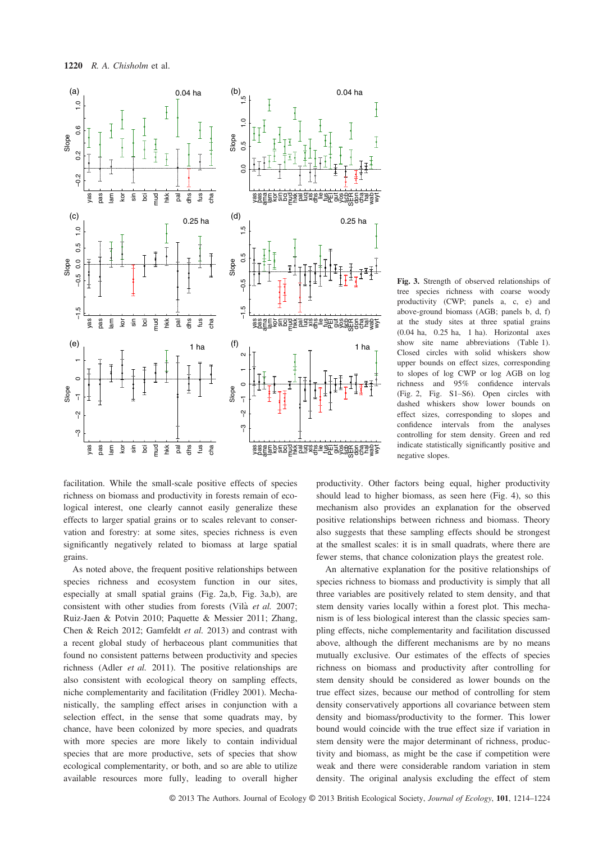

facilitation. While the small-scale positive effects of species richness on biomass and productivity in forests remain of ecological interest, one clearly cannot easily generalize these effects to larger spatial grains or to scales relevant to conservation and forestry: at some sites, species richness is even significantly negatively related to biomass at large spatial grains.

As noted above, the frequent positive relationships between species richness and ecosystem function in our sites, especially at small spatial grains (Fig. 2a,b, Fig. 3a,b), are consistent with other studies from forests (Vilà et al. 2007; Ruiz-Jaen & Potvin 2010; Paquette & Messier 2011; Zhang, Chen & Reich 2012; Gamfeldt et al. 2013) and contrast with a recent global study of herbaceous plant communities that found no consistent patterns between productivity and species richness (Adler et al. 2011). The positive relationships are also consistent with ecological theory on sampling effects, niche complementarity and facilitation (Fridley 2001). Mechanistically, the sampling effect arises in conjunction with a selection effect, in the sense that some quadrats may, by chance, have been colonized by more species, and quadrats with more species are more likely to contain individual species that are more productive, sets of species that show ecological complementarity, or both, and so are able to utilize available resources more fully, leading to overall higher

Fig. 3. Strength of observed relationships of tree species richness with coarse woody productivity (CWP; panels a, c, e) and above-ground biomass (AGB; panels b, d, f) at the study sites at three spatial grains (0.04 ha, 0.25 ha, 1 ha). Horizontal axes show site name abbreviations (Table 1). Closed circles with solid whiskers show upper bounds on effect sizes, corresponding to slopes of log CWP or log AGB on log richness and 95% confidence intervals (Fig. 2, Fig. S1–S6). Open circles with dashed whiskers show lower bounds on effect sizes, corresponding to slopes and confidence intervals from the analyses controlling for stem density. Green and red indicate statistically significantly positive and negative slopes.

productivity. Other factors being equal, higher productivity should lead to higher biomass, as seen here (Fig. 4), so this mechanism also provides an explanation for the observed positive relationships between richness and biomass. Theory also suggests that these sampling effects should be strongest at the smallest scales: it is in small quadrats, where there are fewer stems, that chance colonization plays the greatest role.

An alternative explanation for the positive relationships of species richness to biomass and productivity is simply that all three variables are positively related to stem density, and that stem density varies locally within a forest plot. This mechanism is of less biological interest than the classic species sampling effects, niche complementarity and facilitation discussed above, although the different mechanisms are by no means mutually exclusive. Our estimates of the effects of species richness on biomass and productivity after controlling for stem density should be considered as lower bounds on the true effect sizes, because our method of controlling for stem density conservatively apportions all covariance between stem density and biomass/productivity to the former. This lower bound would coincide with the true effect size if variation in stem density were the major determinant of richness, productivity and biomass, as might be the case if competition were weak and there were considerable random variation in stem density. The original analysis excluding the effect of stem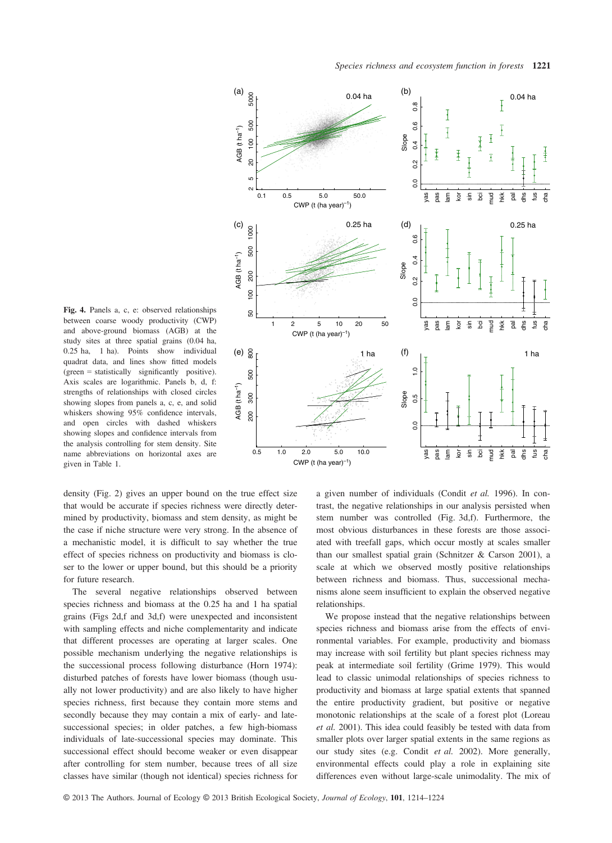

Fig. 4. Panels a, c, e: observed relationships between coarse woody productivity (CWP) and above-ground biomass (AGB) at the study sites at three spatial grains (0.04 ha, 0.25 ha, 1 ha). Points show individual quadrat data, and lines show fitted models (green = statistically significantly positive). Axis scales are logarithmic. Panels b, d, f: strengths of relationships with closed circles showing slopes from panels a, c, e, and solid whiskers showing 95% confidence intervals, and open circles with dashed whiskers showing slopes and confidence intervals from the analysis controlling for stem density. Site name abbreviations on horizontal axes are given in Table 1.

density (Fig. 2) gives an upper bound on the true effect size that would be accurate if species richness were directly determined by productivity, biomass and stem density, as might be the case if niche structure were very strong. In the absence of a mechanistic model, it is difficult to say whether the true effect of species richness on productivity and biomass is closer to the lower or upper bound, but this should be a priority for future research.

The several negative relationships observed between species richness and biomass at the 0.25 ha and 1 ha spatial grains (Figs 2d,f and 3d,f) were unexpected and inconsistent with sampling effects and niche complementarity and indicate that different processes are operating at larger scales. One possible mechanism underlying the negative relationships is the successional process following disturbance (Horn 1974): disturbed patches of forests have lower biomass (though usually not lower productivity) and are also likely to have higher species richness, first because they contain more stems and secondly because they may contain a mix of early- and latesuccessional species; in older patches, a few high-biomass individuals of late-successional species may dominate. This successional effect should become weaker or even disappear after controlling for stem number, because trees of all size classes have similar (though not identical) species richness for a given number of individuals (Condit et al. 1996). In contrast, the negative relationships in our analysis persisted when stem number was controlled (Fig. 3d,f). Furthermore, the most obvious disturbances in these forests are those associated with treefall gaps, which occur mostly at scales smaller than our smallest spatial grain (Schnitzer & Carson 2001), a scale at which we observed mostly positive relationships between richness and biomass. Thus, successional mechanisms alone seem insufficient to explain the observed negative relationships.

We propose instead that the negative relationships between species richness and biomass arise from the effects of environmental variables. For example, productivity and biomass may increase with soil fertility but plant species richness may peak at intermediate soil fertility (Grime 1979). This would lead to classic unimodal relationships of species richness to productivity and biomass at large spatial extents that spanned the entire productivity gradient, but positive or negative monotonic relationships at the scale of a forest plot (Loreau et al. 2001). This idea could feasibly be tested with data from smaller plots over larger spatial extents in the same regions as our study sites (e.g. Condit et al. 2002). More generally, environmental effects could play a role in explaining site differences even without large-scale unimodality. The mix of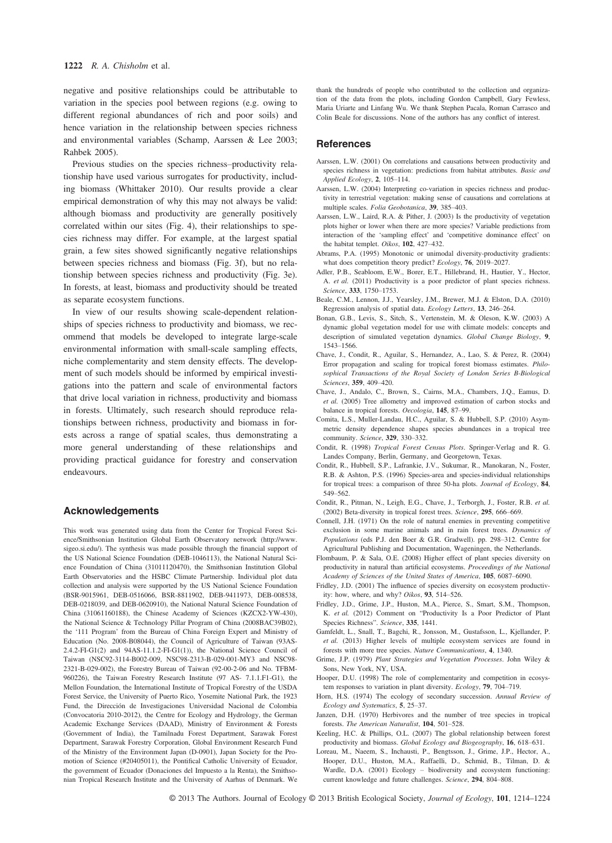negative and positive relationships could be attributable to variation in the species pool between regions (e.g. owing to different regional abundances of rich and poor soils) and hence variation in the relationship between species richness and environmental variables (Schamp, Aarssen & Lee 2003; Rahbek 2005).

Previous studies on the species richness–productivity relationship have used various surrogates for productivity, including biomass (Whittaker 2010). Our results provide a clear empirical demonstration of why this may not always be valid: although biomass and productivity are generally positively correlated within our sites (Fig. 4), their relationships to species richness may differ. For example, at the largest spatial grain, a few sites showed significantly negative relationships between species richness and biomass (Fig. 3f), but no relationship between species richness and productivity (Fig. 3e). In forests, at least, biomass and productivity should be treated as separate ecosystem functions.

In view of our results showing scale-dependent relationships of species richness to productivity and biomass, we recommend that models be developed to integrate large-scale environmental information with small-scale sampling effects, niche complementarity and stem density effects. The development of such models should be informed by empirical investigations into the pattern and scale of environmental factors that drive local variation in richness, productivity and biomass in forests. Ultimately, such research should reproduce relationships between richness, productivity and biomass in forests across a range of spatial scales, thus demonstrating a more general understanding of these relationships and providing practical guidance for forestry and conservation endeavours.

## Acknowledgements

This work was generated using data from the Center for Tropical Forest Science/Smithsonian Institution Global Earth Observatory network (http://www. sigeo.si.edu/). The synthesis was made possible through the financial support of the US National Science Foundation (DEB-1046113), the National Natural Science Foundation of China (31011120470), the Smithsonian Institution Global Earth Observatories and the HSBC Climate Partnership. Individual plot data collection and analysis were supported by the US National Science Foundation (BSR-9015961, DEB-0516066, BSR-8811902, DEB-9411973, DEB-008538, DEB-0218039, and DEB-0620910), the National Natural Science Foundation of China (31061160188), the Chinese Academy of Sciences (KZCX2-YW-430), the National Science & Technology Pillar Program of China (2008BAC39B02), the '111 Program' from the Bureau of China Foreign Expert and Ministry of Education (No. 2008-B08044), the Council of Agriculture of Taiwan (93AS- $2.4.2$ -FI-G1(2) and  $94AS-11.1.2-FI-G1(1)$ , the National Science Council of Taiwan (NSC92-3114-B002-009, NSC98-2313-B-029-001-MY3 and NSC98- 2321-B-029-002), the Forestry Bureau of Taiwan (92-00-2-06 and No. TFBM-960226), the Taiwan Forestry Research Institute (97 AS- 7.1.1.F1-G1), the Mellon Foundation, the International Institute of Tropical Forestry of the USDA Forest Service, the University of Puerto Rico, Yosemite National Park, the 1923 Fund, the Dirección de Investigaciones Universidad Nacional de Colombia (Convocatoria 2010-2012), the Centre for Ecology and Hydrology, the German Academic Exchange Services (DAAD), Ministry of Environment & Forests (Government of India), the Tamilnadu Forest Department, Sarawak Forest Department, Sarawak Forestry Corporation, Global Environment Research Fund of the Ministry of the Environment Japan (D-0901), Japan Society for the Promotion of Science (#20405011), the Pontifical Catholic University of Ecuador, the government of Ecuador (Donaciones del Impuesto a la Renta), the Smithsonian Tropical Research Institute and the University of Aarhus of Denmark. We

thank the hundreds of people who contributed to the collection and organization of the data from the plots, including Gordon Campbell, Gary Fewless, Maria Uriarte and Linfang Wu. We thank Stephen Pacala, Roman Carrasco and Colin Beale for discussions. None of the authors has any conflict of interest.

### **References**

- Aarssen, L.W. (2001) On correlations and causations between productivity and species richness in vegetation: predictions from habitat attributes. *Basic and Applied Ecology*. **2**,  $105-114$ .
- Applied Ecology, 2, 105–114.<br>Aarssen, L.W. (2004) Interpreting co-variation in species richness and productivity in terrestrial vegetation: making sense of causations and correlations at
- multiple scales. *Folia Geobotanica*, **39**, 385–403.<br>Aarssen, L.W., Laird, R.A. & Pither, J. (2003) Is the productivity of vegetation plots higher or lower when there are more species? Variable predictions from interaction of the 'sampling effect' and 'competitive dominance effect' on the habitat templet. Oikos, 102, 427–432.
- Abrams, P.A. (1995) Monotonic or unimodal diversity-productivity gradients: what does competition theory predict? Ecology, 76, 2019–2027.
- Adler, P.B., Seabloom, E.W., Borer, E.T., Hillebrand, H., Hautier, Y., Hector, A. et al. (2011) Productivity is a poor predictor of plant species richness. Science, 333, 1750–1753.
- Beale, C.M., Lennon, J.J., Yearsley, J.M., Brewer, M.J. & Elston, D.A. (2010) Regression analysis of spatial data. Ecology Letters, 13, 246–264.
- Bonan, G.B., Levis, S., Sitch, S., Vertenstein, M. & Oleson, K.W. (2003) A dynamic global vegetation model for use with climate models: concepts and description of simulated vegetation dynamics. Global Change Biology, 9, 1543–1566.
- Chave, J., Condit, R., Aguilar, S., Hernandez, A., Lao, S. & Perez, R. (2004) Error propagation and scaling for tropical forest biomass estimates. Philosophical Transactions of the Royal Society of London Series B-Biological<br>Sciences, 359, 409-420.
- Sciences, 359, 409–420.<br>Chave, J., Andalo, C., Brown, S., Cairns, M.A., Chambers, J.Q., Eamus, D. et al. (2005) Tree allometry and improved estimation of carbon stocks and balance in tropical forests. Oecologia, 145, 87–99.
- Comita, L.S., Muller-Landau, H.C., Aguilar, S. & Hubbell, S.P. (2010) Asymmetric density dependence shapes species abundances in a tropical tree
- community. Science, 329, 330-332.<br>Condit, R. (1998) Tropical Forest Census Plots. Springer-Verlag and R. G. Landes Company, Berlin, Germany, and Georgetown, Texas.
- Condit, R., Hubbell, S.P., Lafrankie, J.V., Sukumar, R., Manokaran, N., Foster, R.B. & Ashton, P.S. (1996) Species-area and species-individual relationships for tropical trees: a comparison of three 50-ha plots. Journal of Ecology, 84, 549–562.
- Condit, R., Pitman, N., Leigh, E.G., Chave, J., Terborgh, J., Foster, R.B. et al. (2002) Beta-diversity in tropical forest trees. Science, 295, 666–669.
- Connell, J.H. (1971) On the role of natural enemies in preventing competitive exclusion in some marine animals and in rain forest trees. Dynamics of Populations (eds P.J. den Boer & G.R. Gradwell). pp. 298–312. Centre for Agricultural Publishing and Documentation, Wageningen, the Netherlands.
- Flombaum, P. & Sala, O.E. (2008) Higher effect of plant species diversity on productivity in natural than artificial ecosystems. Proceedings of the National Academy of Sciences of the United States of America, 105, 6087–6090.
- Fridley, J.D. (2001) The influence of species diversity on ecosystem productivity: how, where, and why? Oikos, 93, 514-526.
- Fridley, J.D., Grime, J.P., Huston, M.A., Pierce, S., Smart, S.M., Thompson, K. et al. (2012) Comment on "Productivity Is a Poor Predictor of Plant Species Richness". Science, 335, 1441.
- Gamfeldt, L., Snall, T., Bagchi, R., Jonsson, M., Gustafsson, L., Kjellander, P. et al. (2013) Higher levels of multiple ecosystem services are found in forests with more tree species. Nature Communications, 4, 1340.
- Grime, J.P. (1979) Plant Strategies and Vegetation Processes. John Wiley & Sons, New York, NY, USA.
- Hooper, D.U. (1998) The role of complementarity and competition in ecosystem responses to variation in plant diversity. Ecology, 79, 704–719.
- Horn, H.S. (1974) The ecology of secondary succession. Annual Review of Ecology and Systematics, 5, 25–37.
- Janzen, D.H. (1970) Herbivores and the number of tree species in tropical forests. The American Naturalist, 104, 501–528.
- Keeling, H.C. & Phillips, O.L. (2007) The global relationship between forest productivity and biomass. Global Ecology and Biogeography, 16, 618–631.
- Loreau, M., Naeem, S., Inchausti, P., Bengtsson, J., Grime, J.P., Hector, A., Hooper, D.U., Huston, M.A., Raffaelli, D., Schmid, B., Tilman, D. & Wardle, D.A. (2001) Ecology – biodiversity and ecosystem functioning: current knowledge and future challenges. Science, 294, 804–808.